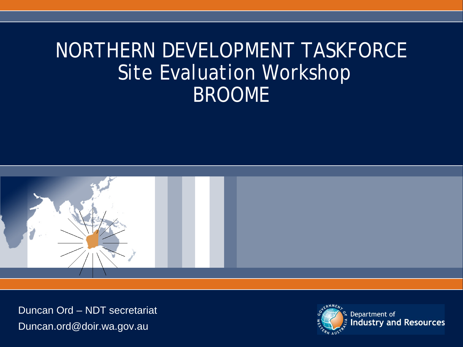# NORTHERN DEVELOPMENT TASKFORCE Site Evaluation Workshop BROOME



Duncan Ord – NDT secretariat Duncan.ord@doir.wa.gov.au

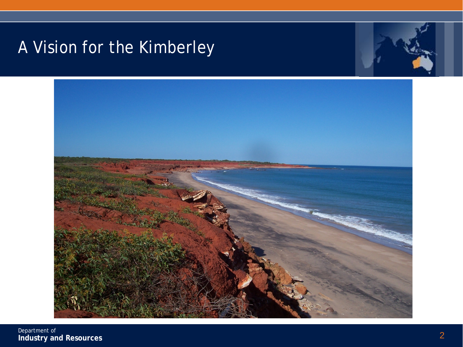# A Vision for the Kimberley





Department of **Industry and Resources** 2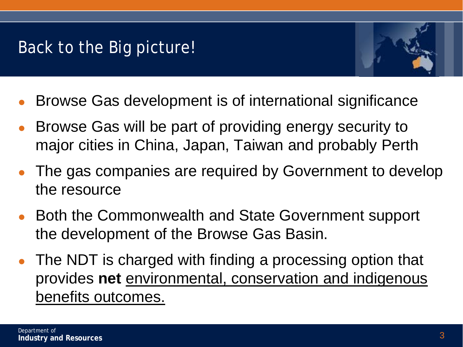## Back to the Big picture!



- Browse Gas development is of international significance
- Browse Gas will be part of providing energy security to major cities in China, Japan, Taiwan and probably Perth
- The gas companies are required by Government to develop the resource
- Both the Commonwealth and State Government support the development of the Browse Gas Basin.
- The NDT is charged with finding a processing option that provides **net** environmental, conservation and indigenous benefits outcomes.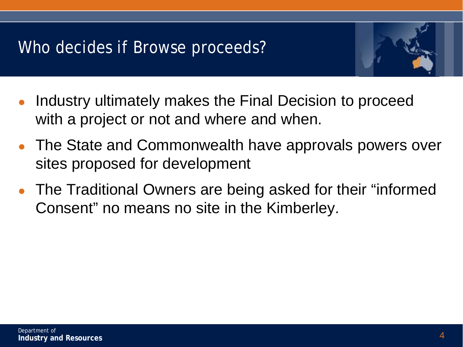## Who decides if Browse proceeds?



- Industry ultimately makes the Final Decision to proceed with a project or not and where and when.
- The State and Commonwealth have approvals powers over sites proposed for development
- The Traditional Owners are being asked for their "informed Consent" no means no site in the Kimberley.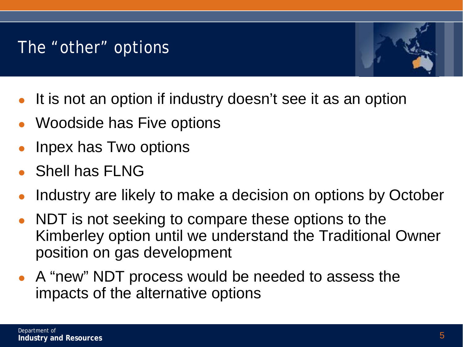#### The "other" options



- It is not an option if industry doesn't see it as an option
- Woodside has Five options
- Inpex has Two options
- Shell has FLNG
- Industry are likely to make a decision on options by October
- NDT is not seeking to compare these options to the Kimberley option until we understand the Traditional Owner position on gas development
- A "new" NDT process would be needed to assess the impacts of the alternative options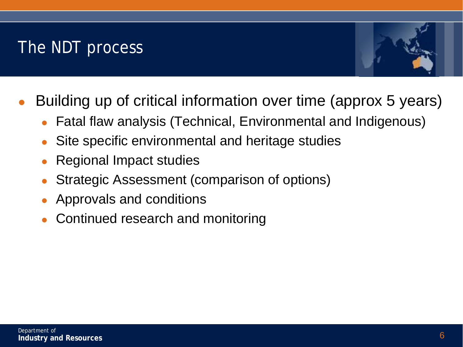# The NDT process



- Building up of critical information over time (approx 5 years)
	- Fatal flaw analysis (Technical, Environmental and Indigenous)
	- Site specific environmental and heritage studies
	- Regional Impact studies
	- Strategic Assessment (comparison of options)
	- Approvals and conditions
	- Continued research and monitoring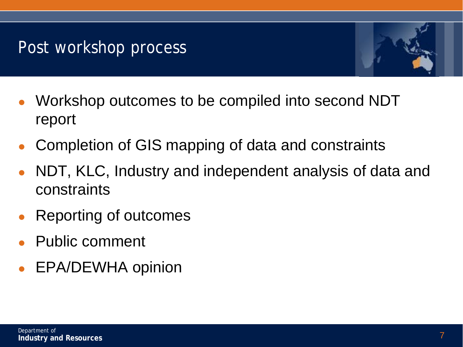## Post workshop process



- Workshop outcomes to be compiled into second NDT report
- Completion of GIS mapping of data and constraints
- NDT, KLC, Industry and independent analysis of data and constraints
- Reporting of outcomes
- Public comment
- EPA/DEWHA opinion